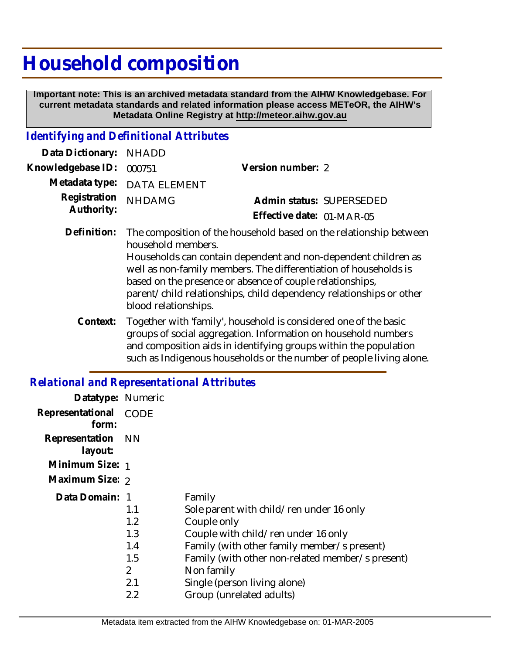# **Household composition**

 **Important note: This is an archived metadata standard from the AIHW Knowledgebase. For current metadata standards and related information please access METeOR, the AIHW's Metadata Online Registry at http://meteor.aihw.gov.au**

#### *Identifying and Definitional Attributes*

| Data Dictionary: NHADD            |                             |                           |
|-----------------------------------|-----------------------------|---------------------------|
| Knowledgebase ID: 000751          | Version number: 2           |                           |
|                                   | Metadata type: DATA ELEMENT |                           |
| Registration NHDAMG<br>Authority: |                             | Admin status: SUPERSEDED  |
|                                   |                             | Effective date: 01-MAR-05 |
|                                   |                             |                           |

The composition of the household based on the relationship between household members. Households can contain dependent and non-dependent children as well as non-family members. The differentiation of households is based on the presence or absence of couple relationships, parent/child relationships, child dependency relationships or other blood relationships. **Definition:**

Together with 'family', household is considered one of the basic groups of social aggregation. Information on household numbers and composition aids in identifying groups within the population such as Indigenous households or the number of people living alone. **Context:**

### *Relational and Representational Attributes*

| Datatype: Numeric         |                |                                                  |
|---------------------------|----------------|--------------------------------------------------|
| Representational<br>form: | CODE           |                                                  |
| Representation<br>layout: | - NN           |                                                  |
| Minimum Size: 1           |                |                                                  |
| Maximum Size: 2           |                |                                                  |
| Data Domain: 1            |                | Family                                           |
|                           | 1.1            | Sole parent with child/ren under 16 only         |
|                           | 1.2            | Couple only                                      |
|                           | 1.3            | Couple with child/ren under 16 only              |
|                           | 1.4            | Family (with other family member/s present)      |
|                           | 1.5            | Family (with other non-related member/s present) |
|                           | $\overline{2}$ | Non family                                       |
|                           | 2.1            | Single (person living alone)                     |
|                           | 2.2            | Group (unrelated adults)                         |